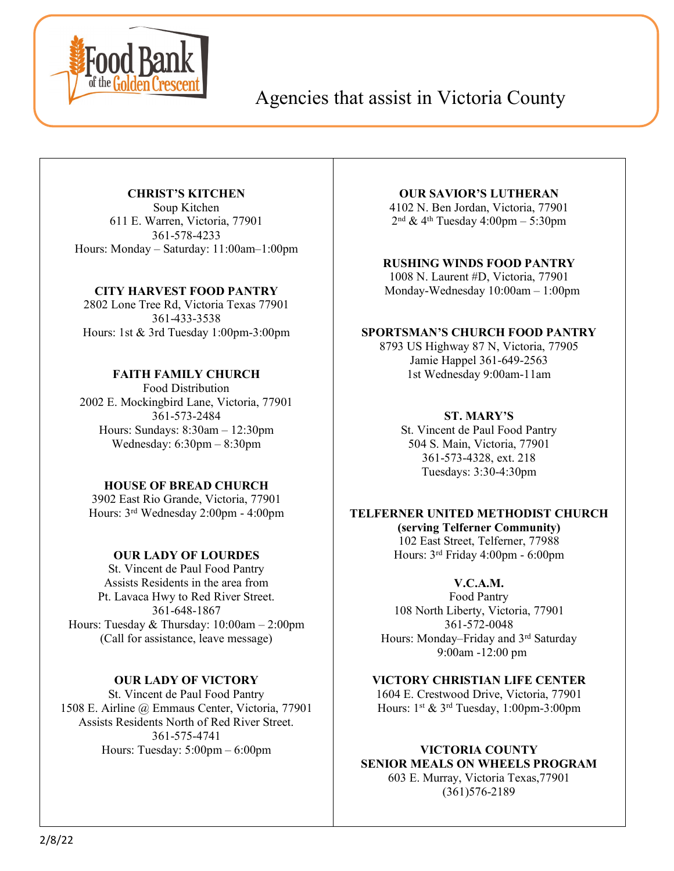

# Agencies that assist in Victoria County

# **CHRIST'S KITCHEN**

Soup Kitchen 611 E. Warren, Victoria, 77901 361-578-4233 Hours: Monday – Saturday: 11:00am–1:00pm

#### **CITY HARVEST FOOD PANTRY**

2802 Lone Tree Rd, Victoria Texas 77901 361-433-3538 Hours: 1st & 3rd Tuesday 1:00pm-3:00pm

# **FAITH FAMILY CHURCH**

Food Distribution 2002 E. Mockingbird Lane, Victoria, 77901 361-573-2484 Hours: Sundays: 8:30am – 12:30pm Wednesday: 6:30pm – 8:30pm

# **HOUSE OF BREAD CHURCH**

3902 East Rio Grande, Victoria, 77901 Hours: 3rd Wednesday 2:00pm - 4:00pm

# **OUR LADY OF LOURDES**

St. Vincent de Paul Food Pantry Assists Residents in the area from Pt. Lavaca Hwy to Red River Street. 361-648-1867 Hours: Tuesday & Thursday: 10:00am – 2:00pm (Call for assistance, leave message)

# **OUR LADY OF VICTORY**

St. Vincent de Paul Food Pantry 1508 E. Airline @ Emmaus Center, Victoria, 77901 Assists Residents North of Red River Street. 361-575-4741 Hours: Tuesday: 5:00pm – 6:00pm

### **OUR SAVIOR'S LUTHERAN**

4102 N. Ben Jordan, Victoria, 77901  $2<sup>nd</sup>$  & 4<sup>th</sup> Tuesday 4:00pm – 5:30pm

#### **RUSHING WINDS FOOD PANTRY**

1008 N. Laurent #D, Victoria, 77901 Monday-Wednesday 10:00am – 1:00pm

#### **SPORTSMAN'S CHURCH FOOD PANTRY**

8793 US Highway 87 N, Victoria, 77905 Jamie Happel 361-649-2563 1st Wednesday 9:00am-11am

# **ST. MARY'S**

St. Vincent de Paul Food Pantry 504 S. Main, Victoria, 77901 361-573-4328, ext. 218 Tuesdays: 3:30-4:30pm

# **TELFERNER UNITED METHODIST CHURCH**

**(serving Telferner Community)** 102 East Street, Telferner, 77988 Hours: 3rd Friday 4:00pm - 6:00pm

# **V.C.A.M.**

Food Pantry 108 North Liberty, Victoria, 77901 361-572-0048 Hours: Monday–Friday and 3rd Saturday 9:00am -12:00 pm

**VICTORY CHRISTIAN LIFE CENTER** 1604 E. Crestwood Drive, Victoria, 77901 Hours:  $1^{st}$  &  $3^{rd}$  Tuesday,  $1:00$ pm-3:00pm

# **VICTORIA COUNTY SENIOR MEALS ON WHEELS PROGRAM**

603 E. Murray, Victoria Texas,77901 (361)576-2189